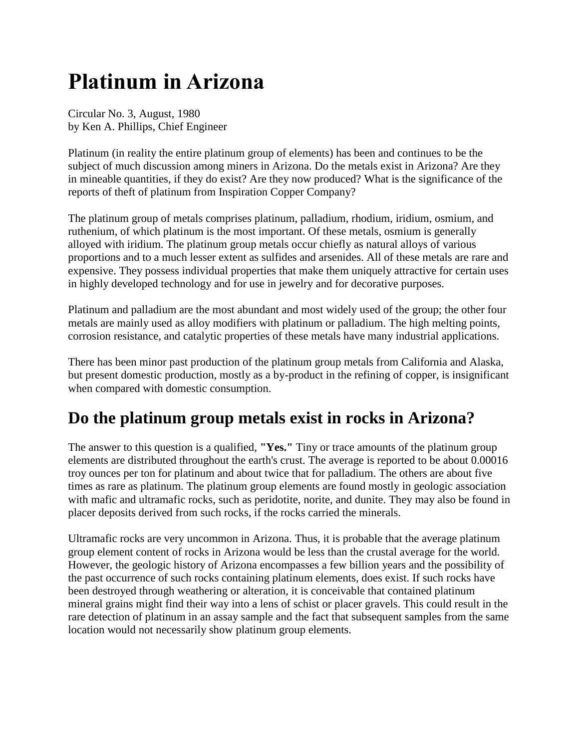# **Platinum in Arizona**

Circular No. 3, August, 1980 by Ken A. Phillips, Chief Engineer

Platinum (in reality the entire platinum group of elements) has been and continues to be the subject of much discussion among miners in Arizona. Do the metals exist in Arizona? Are they in mineable quantities, if they do exist? Are they now produced? What is the significance of the reports of theft of platinum from Inspiration Copper Company?

The platinum group of metals comprises platinum, palladium, rhodium, iridium, osmium, and ruthenium, of which platinum is the most important. Of these metals, osmium is generally alloyed with iridium. The platinum group metals occur chiefly as natural alloys of various proportions and to a much lesser extent as sulfides and arsenides. All of these metals are rare and expensive. They possess individual properties that make them uniquely attractive for certain uses in highly developed technology and for use in jewelry and for decorative purposes.

Platinum and palladium are the most abundant and most widely used of the group; the other four metals are mainly used as alloy modifiers with platinum or palladium. The high melting points, corrosion resistance, and catalytic properties of these metals have many industrial applications.

There has been minor past production of the platinum group metals from California and Alaska, but present domestic production, mostly as a by-product in the refining of copper, is insignificant when compared with domestic consumption.

# **Do the platinum group metals exist in rocks in Arizona?**

The answer to this question is a qualified, **"Yes."** Tiny or trace amounts of the platinum group elements are distributed throughout the earth's crust. The average is reported to be about 0.00016 troy ounces per ton for platinum and about twice that for palladium. The others are about five times as rare as platinum. The platinum group elements are found mostly in geologic association with mafic and ultramafic rocks, such as peridotite, norite, and dunite. They may also be found in placer deposits derived from such rocks, if the rocks carried the minerals.

Ultramafic rocks are very uncommon in Arizona. Thus, it is probable that the average platinum group element content of rocks in Arizona would be less than the crustal average for the world. However, the geologic history of Arizona encompasses a few billion years and the possibility of the past occurrence of such rocks containing platinum elements, does exist. If such rocks have been destroyed through weathering or alteration, it is conceivable that contained platinum mineral grains might find their way into a lens of schist or placer gravels. This could result in the rare detection of platinum in an assay sample and the fact that subsequent samples from the same location would not necessarily show platinum group elements.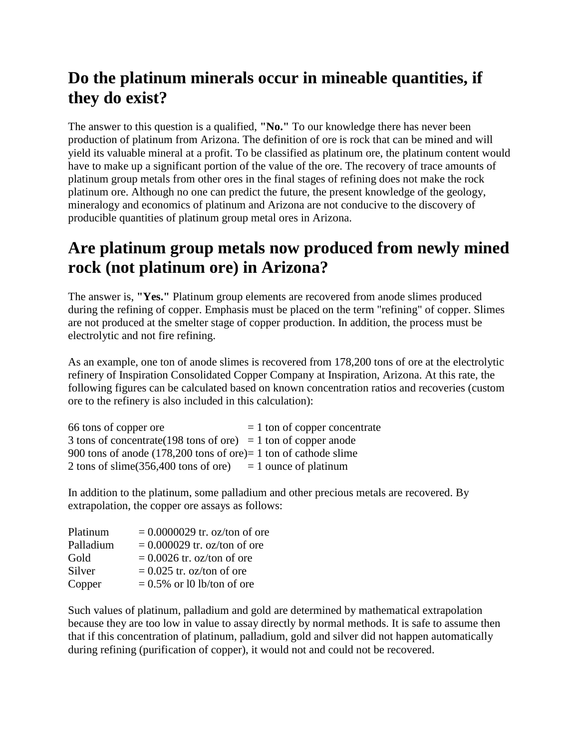#### **Do the platinum minerals occur in mineable quantities, if they do exist?**

The answer to this question is a qualified, **"No."** To our knowledge there has never been production of platinum from Arizona. The definition of ore is rock that can be mined and will yield its valuable mineral at a profit. To be classified as platinum ore, the platinum content would have to make up a significant portion of the value of the ore. The recovery of trace amounts of platinum group metals from other ores in the final stages of refining does not make the rock platinum ore. Although no one can predict the future, the present knowledge of the geology, mineralogy and economics of platinum and Arizona are not conducive to the discovery of producible quantities of platinum group metal ores in Arizona.

#### **Are platinum group metals now produced from newly mined rock (not platinum ore) in Arizona?**

The answer is, **"Yes."** Platinum group elements are recovered from anode slimes produced during the refining of copper. Emphasis must be placed on the term "refining" of copper. Slimes are not produced at the smelter stage of copper production. In addition, the process must be electrolytic and not fire refining.

As an example, one ton of anode slimes is recovered from 178,200 tons of ore at the electrolytic refinery of Inspiration Consolidated Copper Company at Inspiration, Arizona. At this rate, the following figures can be calculated based on known concentration ratios and recoveries (custom ore to the refinery is also included in this calculation):

| 66 tons of copper ore                                                              | $= 1$ ton of copper concentrate |
|------------------------------------------------------------------------------------|---------------------------------|
| 3 tons of concentrate (198 tons of ore) = 1 ton of copper and                      |                                 |
| 900 tons of anode $(178,200 \text{ tons of ore}) = 1 \text{ ton of cathode slime}$ |                                 |
| 2 tons of slime $(356,400 \text{ tons of ore})$                                    | $= 1$ ounce of platinum         |

In addition to the platinum, some palladium and other precious metals are recovered. By extrapolation, the copper ore assays as follows:

| Platinum  | $= 0.0000029$ tr. oz/ton of ore |
|-----------|---------------------------------|
| Palladium | $= 0.000029$ tr. oz/ton of ore  |
| Gold      | $= 0.0026$ tr. oz/ton of ore    |
| Silver    | $= 0.025$ tr. oz/ton of ore     |
| Copper    | $= 0.5\%$ or 10 lb/ton of ore   |

Such values of platinum, palladium and gold are determined by mathematical extrapolation because they are too low in value to assay directly by normal methods. It is safe to assume then that if this concentration of platinum, palladium, gold and silver did not happen automatically during refining (purification of copper), it would not and could not be recovered.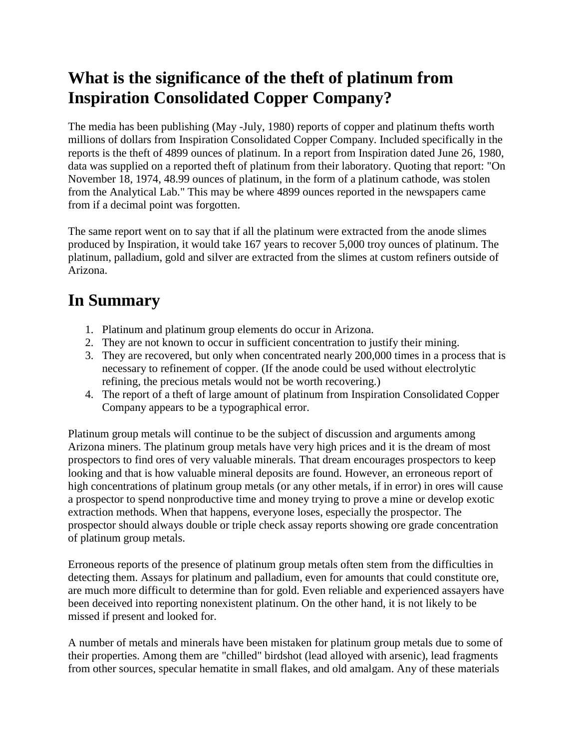## **What is the significance of the theft of platinum from Inspiration Consolidated Copper Company?**

The media has been publishing (May -July, 1980) reports of copper and platinum thefts worth millions of dollars from Inspiration Consolidated Copper Company. Included specifically in the reports is the theft of 4899 ounces of platinum. In a report from Inspiration dated June 26, 1980, data was supplied on a reported theft of platinum from their laboratory. Quoting that report: "On November 18, 1974, 48.99 ounces of platinum, in the form of a platinum cathode, was stolen from the Analytical Lab." This may be where 4899 ounces reported in the newspapers came from if a decimal point was forgotten.

The same report went on to say that if all the platinum were extracted from the anode slimes produced by Inspiration, it would take 167 years to recover 5,000 troy ounces of platinum. The platinum, palladium, gold and silver are extracted from the slimes at custom refiners outside of Arizona.

## **In Summary**

- 1. Platinum and platinum group elements do occur in Arizona.
- 2. They are not known to occur in sufficient concentration to justify their mining.
- 3. They are recovered, but only when concentrated nearly 200,000 times in a process that is necessary to refinement of copper. (If the anode could be used without electrolytic refining, the precious metals would not be worth recovering.)
- 4. The report of a theft of large amount of platinum from Inspiration Consolidated Copper Company appears to be a typographical error.

Platinum group metals will continue to be the subject of discussion and arguments among Arizona miners. The platinum group metals have very high prices and it is the dream of most prospectors to find ores of very valuable minerals. That dream encourages prospectors to keep looking and that is how valuable mineral deposits are found. However, an erroneous report of high concentrations of platinum group metals (or any other metals, if in error) in ores will cause a prospector to spend nonproductive time and money trying to prove a mine or develop exotic extraction methods. When that happens, everyone loses, especially the prospector. The prospector should always double or triple check assay reports showing ore grade concentration of platinum group metals.

Erroneous reports of the presence of platinum group metals often stem from the difficulties in detecting them. Assays for platinum and palladium, even for amounts that could constitute ore, are much more difficult to determine than for gold. Even reliable and experienced assayers have been deceived into reporting nonexistent platinum. On the other hand, it is not likely to be missed if present and looked for.

A number of metals and minerals have been mistaken for platinum group metals due to some of their properties. Among them are "chilled" birdshot (lead alloyed with arsenic), lead fragments from other sources, specular hematite in small flakes, and old amalgam. Any of these materials